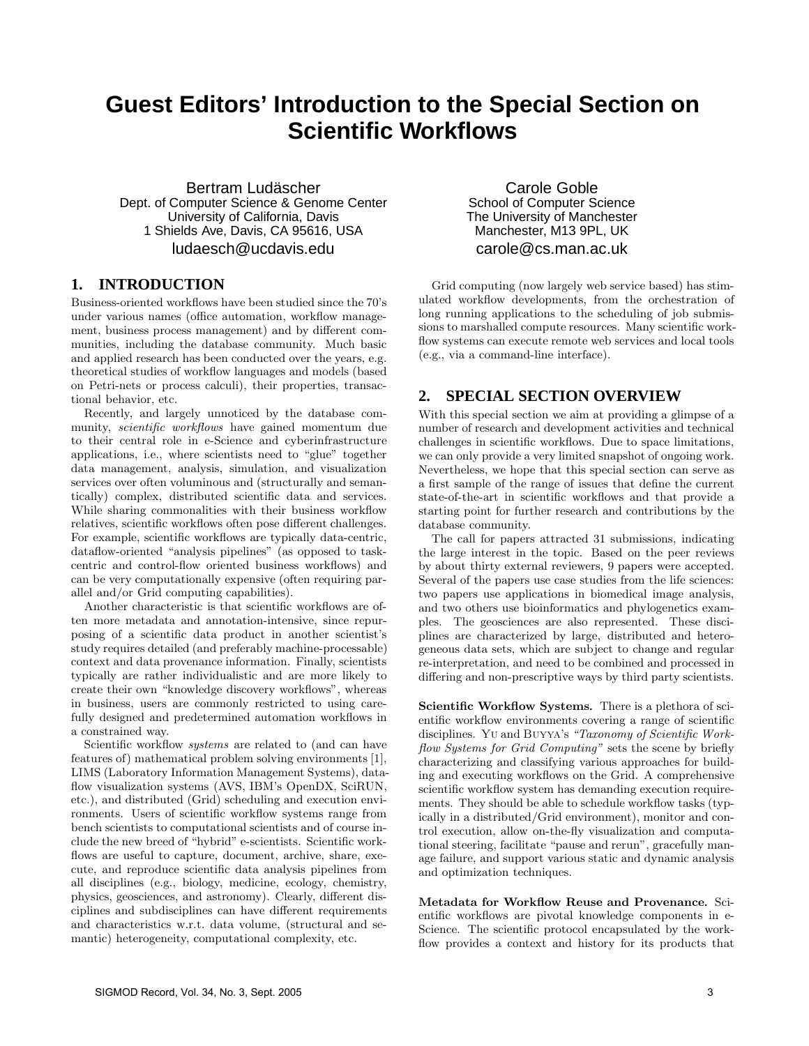## **Guest Editors' Introduction to the Special Section on Scientific Workflows**

Bertram Ludäscher Dept. of Computer Science & Genome Center University of California, Davis 1 Shields Ave, Davis, CA 95616, USA ludaesch@ucdavis.edu

## **1. INTRODUCTION**

Business-oriented workflows have been studied since the 70's under various names (office automation, workflow management, business process management) and by different communities, including the database community. Much basic and applied research has been conducted over the years, e.g. theoretical studies of workflow languages and models (based on Petri-nets or process calculi), their properties, transactional behavior, etc.

Recently, and largely unnoticed by the database community, scientific workflows have gained momentum due to their central role in e-Science and cyberinfrastructure applications, i.e., where scientists need to "glue" together data management, analysis, simulation, and visualization services over often voluminous and (structurally and semantically) complex, distributed scientific data and services. While sharing commonalities with their business workflow relatives, scientific workflows often pose different challenges. For example, scientific workflows are typically data-centric, dataflow-oriented "analysis pipelines" (as opposed to taskcentric and control-flow oriented business workflows) and can be very computationally expensive (often requiring parallel and/or Grid computing capabilities).

Another characteristic is that scientific workflows are often more metadata and annotation-intensive, since repurposing of a scientific data product in another scientist's study requires detailed (and preferably machine-processable) context and data provenance information. Finally, scientists typically are rather individualistic and are more likely to create their own "knowledge discovery workflows", whereas in business, users are commonly restricted to using carefully designed and predetermined automation workflows in a constrained way.

Scientific workflow *systems* are related to (and can have features of) mathematical problem solving environments [1], LIMS (Laboratory Information Management Systems), dataflow visualization systems (AVS, IBM's OpenDX, SciRUN, etc.), and distributed (Grid) scheduling and execution environments. Users of scientific workflow systems range from bench scientists to computational scientists and of course include the new breed of "hybrid" e-scientists. Scientific workflows are useful to capture, document, archive, share, execute, and reproduce scientific data analysis pipelines from all disciplines (e.g., biology, medicine, ecology, chemistry, physics, geosciences, and astronomy). Clearly, different disciplines and subdisciplines can have different requirements and characteristics w.r.t. data volume, (structural and semantic) heterogeneity, computational complexity, etc.

Carole Goble School of Computer Science The University of Manchester Manchester, M13 9PL, UK carole@cs.man.ac.uk

Grid computing (now largely web service based) has stimulated workflow developments, from the orchestration of long running applications to the scheduling of job submissions to marshalled compute resources. Many scientific workflow systems can execute remote web services and local tools (e.g., via a command-line interface).

## **2. SPECIAL SECTION OVERVIEW**

With this special section we aim at providing a glimpse of a number of research and development activities and technical challenges in scientific workflows. Due to space limitations, we can only provide a very limited snapshot of ongoing work. Nevertheless, we hope that this special section can serve as a first sample of the range of issues that define the current state-of-the-art in scientific workflows and that provide a starting point for further research and contributions by the database community.

The call for papers attracted 31 submissions, indicating the large interest in the topic. Based on the peer reviews by about thirty external reviewers, 9 papers were accepted. Several of the papers use case studies from the life sciences: two papers use applications in biomedical image analysis, and two others use bioinformatics and phylogenetics examples. The geosciences are also represented. These disciplines are characterized by large, distributed and heterogeneous data sets, which are subject to change and regular re-interpretation, and need to be combined and processed in differing and non-prescriptive ways by third party scientists.

Scientific Workflow Systems*.* There is a plethora of scientific workflow environments covering a range of scientific disciplines. Yu and Buyya's "Taxonomy of Scientific Workflow Systems for Grid Computing" sets the scene by briefly characterizing and classifying various approaches for building and executing workflows on the Grid. A comprehensive scientific workflow system has demanding execution requirements. They should be able to schedule workflow tasks (typically in a distributed/Grid environment), monitor and control execution, allow on-the-fly visualization and computational steering, facilitate "pause and rerun", gracefully manage failure, and support various static and dynamic analysis and optimization techniques.

Metadata for Workflow Reuse and Provenance*.* Scientific workflows are pivotal knowledge components in e-Science. The scientific protocol encapsulated by the workflow provides a context and history for its products that